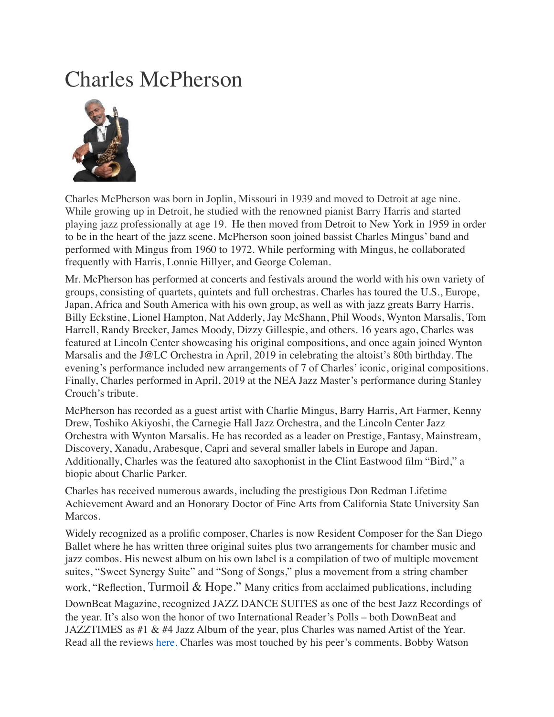## Charles McPherson



Charles McPherson was born in Joplin, Missouri in 1939 and moved to Detroit at age nine. While growing up in Detroit, he studied with the renowned pianist Barry Harris and started playing jazz professionally at age 19. He then moved from Detroit to New York in 1959 in order to be in the heart of the jazz scene. McPherson soon joined bassist Charles Mingus' band and performed with Mingus from 1960 to 1972. While performing with Mingus, he collaborated frequently with Harris, Lonnie Hillyer, and George Coleman.

Mr. McPherson has performed at concerts and festivals around the world with his own variety of groups, consisting of quartets, quintets and full orchestras. Charles has toured the U.S., Europe, Japan, Africa and South America with his own group, as well as with jazz greats Barry Harris, Billy Eckstine, Lionel Hampton, Nat Adderly, Jay McShann, Phil Woods, Wynton Marsalis, Tom Harrell, Randy Brecker, James Moody, Dizzy Gillespie, and others. 16 years ago, Charles was featured at Lincoln Center showcasing his original compositions, and once again joined Wynton Marsalis and the J@LC Orchestra in April, 2019 in celebrating the altoist's 80th birthday. The evening's performance included new arrangements of 7 of Charles' iconic, original compositions. Finally, Charles performed in April, 2019 at the NEA Jazz Master's performance during Stanley Crouch's tribute.

McPherson has recorded as a guest artist with Charlie Mingus, Barry Harris, Art Farmer, Kenny Drew, Toshiko Akiyoshi, the Carnegie Hall Jazz Orchestra, and the Lincoln Center Jazz Orchestra with Wynton Marsalis. He has recorded as a leader on Prestige, Fantasy, Mainstream, Discovery, Xanadu, Arabesque, Capri and several smaller labels in Europe and Japan. Additionally, Charles was the featured alto saxophonist in the Clint Eastwood film "Bird," a biopic about Charlie Parker.

Charles has received numerous awards, including the prestigious Don Redman Lifetime Achievement Award and an Honorary Doctor of Fine Arts from California State University San Marcos.

Widely recognized as a prolific composer, Charles is now Resident Composer for the San Diego Ballet where he has written three original suites plus two arrangements for chamber music and jazz combos. His newest album on his own label is a compilation of two of multiple movement suites, "Sweet Synergy Suite" and "Song of Songs," plus a movement from a string chamber work, "Reflection, Turmoil & Hope." Many critics from acclaimed publications, including DownBeat Magazine, recognized JAZZ DANCE SUITES as one of the best Jazz Recordings of the year. It's also won the honor of two International Reader's Polls – both DownBeat and JAZZTIMES as #1 & #4 Jazz Album of the year, plus Charles was named Artist of the Year. Read all the reviews [here.](https://charlesmcpherson.com/reviews/) Charles was most touched by his peer's comments. Bobby Watson